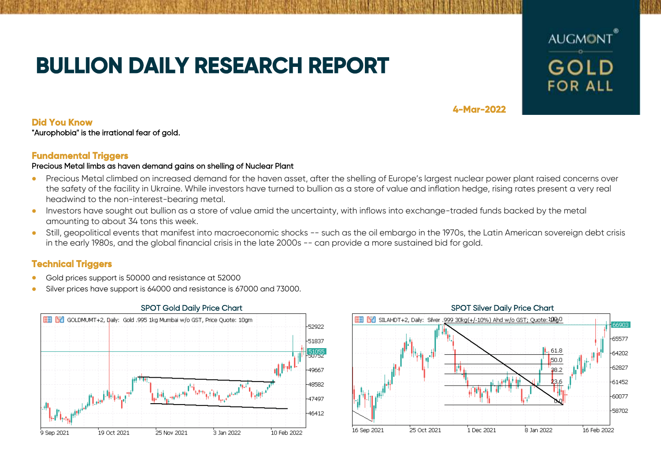# **BULLION DAILY RESEARCH REPORT**



**4-Mar-2022** 

# **Did You Know**

"Aurophobia" is the irrational fear of gold.

# **Fundamental Triggers**

## Precious Metal limbs as haven demand gains on shelling of Nuclear Plant

- Precious Metal climbed on increased demand for the haven asset, after the shelling of Europe's largest nuclear power plant raised concerns over the safety of the facility in Ukraine. While investors have turned to bullion as a store of value and inflation hedge, rising rates present a very real headwind to the non-interest-bearing metal.
- Investors have sought out bullion as a store of value amid the uncertainty, with inflows into exchange-traded funds backed by the metal amounting to about 34 tons this week.
- Still, geopolitical events that manifest into macroeconomic shocks -- such as the oil embargo in the 1970s, the Latin American sovereign debt crisis in the early 1980s, and the global financial crisis in the late 2000s -- can provide a more sustained bid for gold.

# **Technical Triggers**

- Gold prices support is 50000 and resistance at 52000
- Silver prices have support is 64000 and resistance is 67000 and 73000.



### SPOT Gold Daily Price Chart SPOT Silver Daily Price Chart SPOT Silver Daily Price Chart  $\boxed{\equiv}$   $\boxed{57}$  SILAHDT+2, Daily: Silver .999 30kg(+/-10%) Ahd w/o GST; Quote: 100 isan 65577 61.8 -64202 50.0  $-62827$  $38.2$ -61452 -60077 58702 25 Oct 2021 1 Dec 2021 8 Jan 2022 16 Feb 2022 16 Sep 2021